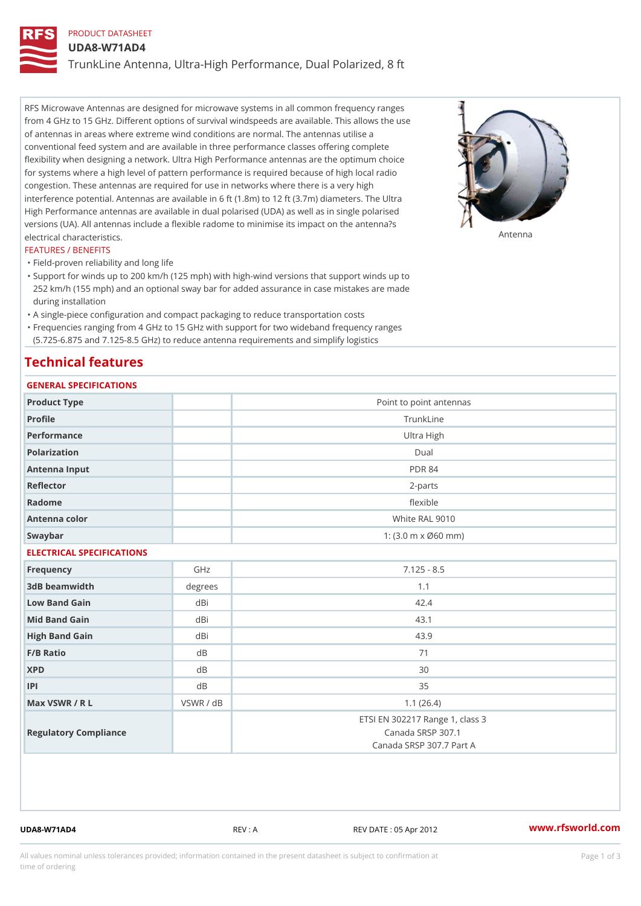## PRODUCT DATASHEET

UDA8-W71AD4

TrunkLine Antenna, Ultra-High Performance, Dual Polarized, 8 ft

RFS Microwave Antennas are designed for microwave systems in all common frequency ranges from 4 GHz to 15 GHz. Different options of survival windspeeds are available. This allows the use of antennas in areas where extreme wind conditions are normal. The antennas utilise a conventional feed system and are available in three performance classes offering complete flexibility when designing a network. Ultra High Performance antennas are the optimum choice for systems where a high level of pattern performance is required because of high local radio congestion. These antennas are required for use in networks where there is a very high interference potential. Antennas are available in 6 ft (1.8m) to 12 ft (3.7m) diameters. The Ultra High Performance antennas are available in dual polarised (UDA) as well as in single polarised versions (UA). All antennas include a flexible radome to minimise its impact on the antenna?s electrical characteristics. Antenna

#### FEATURES / BENEFITS

"Field-proven reliability and long life

- Support for winds up to 200 km/h (125 mph) with high-wind versions that support winds up to " 252 km/h (155 mph) and an optional sway bar for added assurance in case mistakes are made during installation
- "A single-piece configuration and compact packaging to reduce transportation costs
- Frequencies ranging from 4 GHz to 15 GHz with support for two wideband frequency ranges "
- (5.725-6.875 and 7.125-8.5 GHz) to reduce antenna requirements and simplify logistics

### Technical features

## GENERAL SPECIFICATIONS

| Product Type<br>Point to point antennas<br>Profile<br>TrunkLine                                           |  |  |  |  |
|-----------------------------------------------------------------------------------------------------------|--|--|--|--|
|                                                                                                           |  |  |  |  |
|                                                                                                           |  |  |  |  |
| Performance<br>Ultra High                                                                                 |  |  |  |  |
| Polarization<br>$D$ ual                                                                                   |  |  |  |  |
| Antenna Input<br><b>PDR 84</b>                                                                            |  |  |  |  |
| Reflector<br>$2 - p$ arts                                                                                 |  |  |  |  |
| Radome<br>flexible                                                                                        |  |  |  |  |
| White RAL 9010<br>Antenna color                                                                           |  |  |  |  |
| Swaybar<br>1: $(3.0 \, \text{m} \times \emptyset 60 \, \text{mm})$                                        |  |  |  |  |
| ELECTRICAL SPECIFICATIONS                                                                                 |  |  |  |  |
| GHz<br>$7.125 - 8.5$<br>Frequency                                                                         |  |  |  |  |
| 3dB beamwidth<br>degrees<br>1.1                                                                           |  |  |  |  |
| dBi<br>42.4<br>Low Band Gain                                                                              |  |  |  |  |
| dBi<br>43.1<br>Mid Band Gain                                                                              |  |  |  |  |
| dBi<br>43.9<br>High Band Gain                                                                             |  |  |  |  |
| F/B Ratio<br>d B<br>71                                                                                    |  |  |  |  |
| <b>XPD</b><br>d B<br>30                                                                                   |  |  |  |  |
| P <br>d B<br>35                                                                                           |  |  |  |  |
| Max VSWR / R L<br>VSWR / dB<br>1.1(26.4)                                                                  |  |  |  |  |
| ETSI EN 302217 Range 1, class 3<br>Canada SRSP 307.1<br>Regulatory Compliance<br>Canada SRSP 307.7 Part A |  |  |  |  |

UDA8-W71AD4 REV : A REV DATE : 05 Apr 2012 [www.](https://www.rfsworld.com)rfsworld.com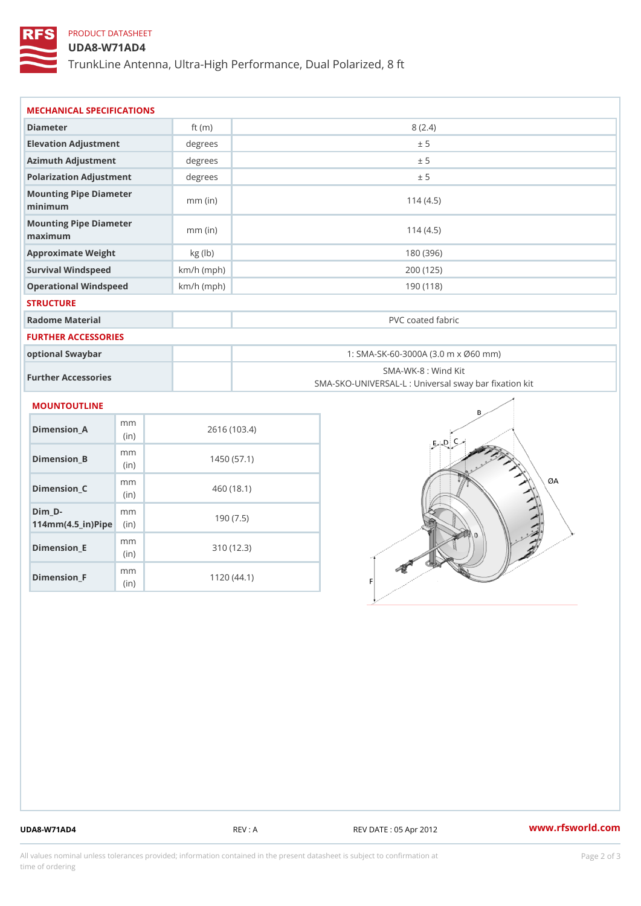## PRODUCT DATASHEET

#### UDA8-W71AD4

TrunkLine Antenna, Ultra-High Performance, Dual Polarized, 8 ft

| MECHANICAL SPECIFICATIONS                       |              |                                                                          |  |
|-------------------------------------------------|--------------|--------------------------------------------------------------------------|--|
| Diameter                                        | ft $(m)$     | 8(2.4)                                                                   |  |
| Elevation Adjustment                            | degrees      | ± 5                                                                      |  |
| Azimuth Adjustment                              | degrees      | ± 5                                                                      |  |
| Polarization Adjustment                         | degrees      | ± 5                                                                      |  |
| Mounting Pipe Diameter<br>minimum               | $mm$ (in)    | 114(4.5)                                                                 |  |
| Mounting Pipe Diameter<br>maximum               | $mm$ (in)    | 114(4.5)                                                                 |  |
| Approximate Weight                              | kg (lb)      | 180 (396)                                                                |  |
| Survival Windspeed                              | $km/h$ (mph) | 200 (125)                                                                |  |
| Operational Windspeed                           | $km/h$ (mph) | 190 (118)                                                                |  |
| <b>STRUCTURE</b>                                |              |                                                                          |  |
| Radome Material                                 |              | PVC coated fabric                                                        |  |
| FURTHER ACCESSORIES                             |              |                                                                          |  |
| optional Swaybar                                |              | 1: SMA-SK-60-3000A (3.0 m x Ø60 mm)                                      |  |
| Further Accessories                             |              | SMA-WK-8 : Wind Kit<br>SMA-SKO-UNIVERSAL-L : Universal sway bar fixation |  |
| <b>MOUNTOUTLINE</b>                             |              |                                                                          |  |
| m m<br>Dimension_A<br>(in)                      |              | 2616 (103.4)                                                             |  |
| m m<br>$Dimension_B$<br>(in)                    |              | 1450(57.1)                                                               |  |
| m m<br>Dimension_C<br>(in)                      |              | 460 (18.1)                                                               |  |
| $Dim_D - D -$<br>m m<br>$114mm(4.5_{ir})$ $Rip$ |              | 190(7.5)                                                                 |  |
| m m<br><b>Britain and Contract Contract</b>     |              | 0.401400                                                                 |  |

Dimension\_E

Dimension\_F

(in)

m<sub>m</sub> (in)

310 (12.3)

1120 (44.1)

UDA8-W71AD4 REV : A REV DATE : 05 Apr 2012 [www.](https://www.rfsworld.com)rfsworld.com